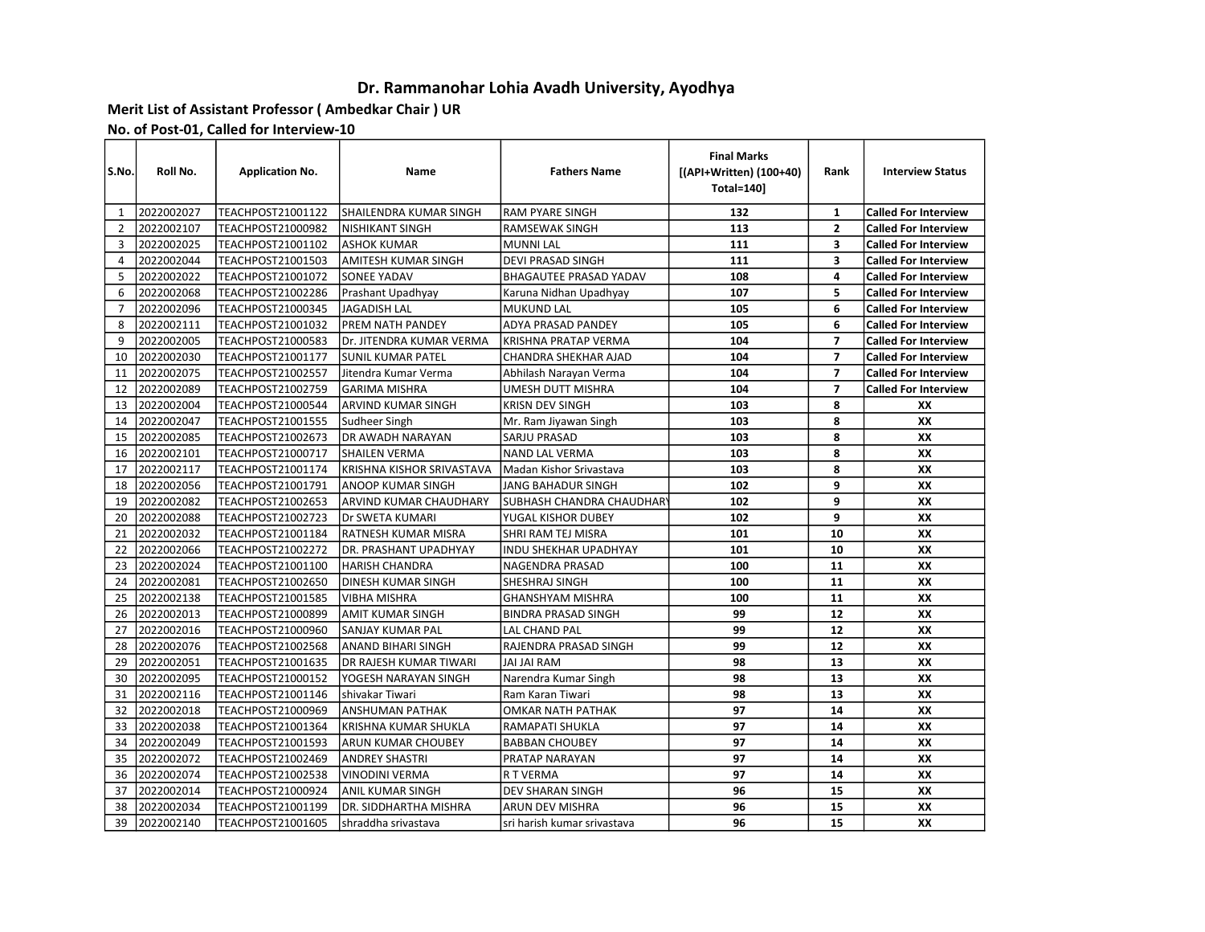## Dr. Rammanohar Lohia Avadh University, Ayodhya

## Merit List of Assistant Professor ( Ambedkar Chair ) UR

No. of Post-01, Called for Interview-10

| S.No.          | Roll No.   | <b>Application No.</b>   | Name                       | <b>Fathers Name</b>             | <b>Final Marks</b><br>[(API+Written) (100+40)<br><b>Total=140]</b> | Rank                    | <b>Interview Status</b>     |
|----------------|------------|--------------------------|----------------------------|---------------------------------|--------------------------------------------------------------------|-------------------------|-----------------------------|
| 1              | 2022002027 | TEACHPOST21001122        | SHAILENDRA KUMAR SINGH     | <b>RAM PYARE SINGH</b>          | 132                                                                | $\mathbf{1}$            | <b>Called For Interview</b> |
| 2              | 2022002107 | TEACHPOST21000982        | <b>NISHIKANT SINGH</b>     | <b>RAMSEWAK SINGH</b>           | 113                                                                | $\overline{2}$          | <b>Called For Interview</b> |
| $\overline{3}$ | 2022002025 | TEACHPOST21001102        | <b>ASHOK KUMAR</b>         | <b>MUNNI LAL</b>                | 111                                                                | 3                       | <b>Called For Interview</b> |
| 4              | 2022002044 | <b>TEACHPOST21001503</b> | <b>AMITESH KUMAR SINGH</b> | <b>DEVI PRASAD SINGH</b>        | 111                                                                | $\overline{\mathbf{3}}$ | <b>Called For Interview</b> |
| 5              | 2022002022 | TEACHPOST21001072        | <b>SONEE YADAV</b>         | <b>BHAGAUTEE PRASAD YADAV</b>   | 108                                                                | 4                       | <b>Called For Interview</b> |
| 6              | 2022002068 | TEACHPOST21002286        | Prashant Upadhyay          | Karuna Nidhan Upadhyay          | 107                                                                | 5                       | <b>Called For Interview</b> |
| $\overline{7}$ | 2022002096 | TEACHPOST21000345        | <b>JAGADISH LAL</b>        | <b>MUKUND LAL</b>               | 105                                                                | 6                       | <b>Called For Interview</b> |
| 8              | 2022002111 | <b>TEACHPOST21001032</b> | PREM NATH PANDEY           | <b>ADYA PRASAD PANDEY</b>       | 105                                                                | 6                       | <b>Called For Interview</b> |
| 9              | 2022002005 | TEACHPOST21000583        | Dr. JITENDRA KUMAR VERMA   | <b>KRISHNA PRATAP VERMA</b>     | 104                                                                | $\overline{7}$          | <b>Called For Interview</b> |
| 10             | 2022002030 | TEACHPOST21001177        | <b>SUNIL KUMAR PATEL</b>   | CHANDRA SHEKHAR AJAD            | 104                                                                | $\overline{7}$          | <b>Called For Interview</b> |
| 11             | 2022002075 | TEACHPOST21002557        | Jitendra Kumar Verma       | Abhilash Narayan Verma          | 104                                                                | $\overline{7}$          | <b>Called For Interview</b> |
| 12             | 2022002089 | TEACHPOST21002759        | <b>GARIMA MISHRA</b>       | UMESH DUTT MISHRA               | 104                                                                | $\overline{7}$          | <b>Called For Interview</b> |
| 13             | 2022002004 | TEACHPOST21000544        | ARVIND KUMAR SINGH         | <b>KRISN DEV SINGH</b>          | 103                                                                | 8                       | xх                          |
| 14             | 2022002047 | TEACHPOST21001555        | Sudheer Singh              | Mr. Ram Jiyawan Singh           | 103                                                                | 8                       | XX                          |
| 15             | 2022002085 | TEACHPOST21002673        | DR AWADH NARAYAN           | SARJU PRASAD                    | 103                                                                | 8                       | XX                          |
| 16             | 2022002101 | TEACHPOST21000717        | <b>SHAILEN VERMA</b>       | <b>NAND LAL VERMA</b>           | 103                                                                | 8                       | XX                          |
| 17             | 2022002117 | TEACHPOST21001174        | KRISHNA KISHOR SRIVASTAVA  | Madan Kishor Srivastava         | 103                                                                | 8                       | XX                          |
| 18             | 2022002056 | TEACHPOST21001791        | ANOOP KUMAR SINGH          | JANG BAHADUR SINGH              | 102                                                                | 9                       | XX                          |
| 19             | 2022002082 | TEACHPOST21002653        | ARVIND KUMAR CHAUDHARY     | <b>SUBHASH CHANDRA CHAUDHAR</b> | 102                                                                | 9                       | XX                          |
| 20             | 2022002088 | TEACHPOST21002723        | Dr SWETA KUMARI            | YUGAL KISHOR DUBEY              | 102                                                                | 9                       | XX                          |
| 21             | 2022002032 | TEACHPOST21001184        | RATNESH KUMAR MISRA        | SHRI RAM TEJ MISRA              | 101                                                                | 10                      | XX                          |
| 22             | 2022002066 | <b>TEACHPOST21002272</b> | DR. PRASHANT UPADHYAY      | <b>INDU SHEKHAR UPADHYAY</b>    | 101                                                                | 10                      | XX                          |
| 23             | 2022002024 | TEACHPOST21001100        | <b>HARISH CHANDRA</b>      | NAGENDRA PRASAD                 | 100                                                                | 11                      | XX                          |
| 24             | 2022002081 | TEACHPOST21002650        | DINESH KUMAR SINGH         | SHESHRAJ SINGH                  | 100                                                                | 11                      | XX                          |
| 25             | 2022002138 | TEACHPOST21001585        | VIBHA MISHRA               | <b>GHANSHYAM MISHRA</b>         | 100                                                                | 11                      | XX                          |
| 26             | 2022002013 | TEACHPOST21000899        | AMIT KUMAR SINGH           | <b>BINDRA PRASAD SINGH</b>      | 99                                                                 | 12                      | XX                          |
| 27             | 2022002016 | TEACHPOST21000960        | SANJAY KUMAR PAL           | LAL CHAND PAL                   | 99                                                                 | 12                      | XX                          |
| 28             | 2022002076 | <b>TEACHPOST21002568</b> | <b>ANAND BIHARI SINGH</b>  | RAJENDRA PRASAD SINGH           | 99                                                                 | 12                      | XX                          |
| 29             | 2022002051 | TEACHPOST21001635        | DR RAJESH KUMAR TIWARI     | JAI JAI RAM                     | 98                                                                 | 13                      | XX                          |
| 30             | 2022002095 | <b>TEACHPOST21000152</b> | YOGESH NARAYAN SINGH       | Narendra Kumar Singh            | 98                                                                 | 13                      | XX                          |
| 31             | 2022002116 | TEACHPOST21001146        | shiyakar Tiwari            | Ram Karan Tiwari                | 98                                                                 | 13                      | <b>XX</b>                   |
| 32             | 2022002018 | TEACHPOST21000969        | <b>ANSHUMAN PATHAK</b>     | <b>OMKAR NATH PATHAK</b>        | 97                                                                 | 14                      | XX                          |
| 33             | 2022002038 | TEACHPOST21001364        | KRISHNA KUMAR SHUKLA       | RAMAPATI SHUKLA                 | 97                                                                 | 14                      | XX                          |
| 34             | 2022002049 | TEACHPOST21001593        | ARUN KUMAR CHOUBEY         | <b>BABBAN CHOUBEY</b>           | 97                                                                 | 14                      | XX                          |
| 35             | 2022002072 | TEACHPOST21002469        | <b>ANDREY SHASTRI</b>      | PRATAP NARAYAN                  | 97                                                                 | 14                      | XX                          |
| 36             | 2022002074 | TEACHPOST21002538        | <b>VINODINI VERMA</b>      | <b>R T VERMA</b>                | 97                                                                 | 14                      | XX                          |
| 37             | 2022002014 | TEACHPOST21000924        | ANIL KUMAR SINGH           | DEV SHARAN SINGH                | 96                                                                 | 15                      | XX                          |
| 38             | 2022002034 | TEACHPOST21001199        | DR. SIDDHARTHA MISHRA      | ARUN DEV MISHRA                 | 96                                                                 | 15                      | XX                          |
| 39             | 2022002140 | <b>TEACHPOST21001605</b> | shraddha srivastava        | sri harish kumar srivastava     | 96                                                                 | 15                      | XX                          |